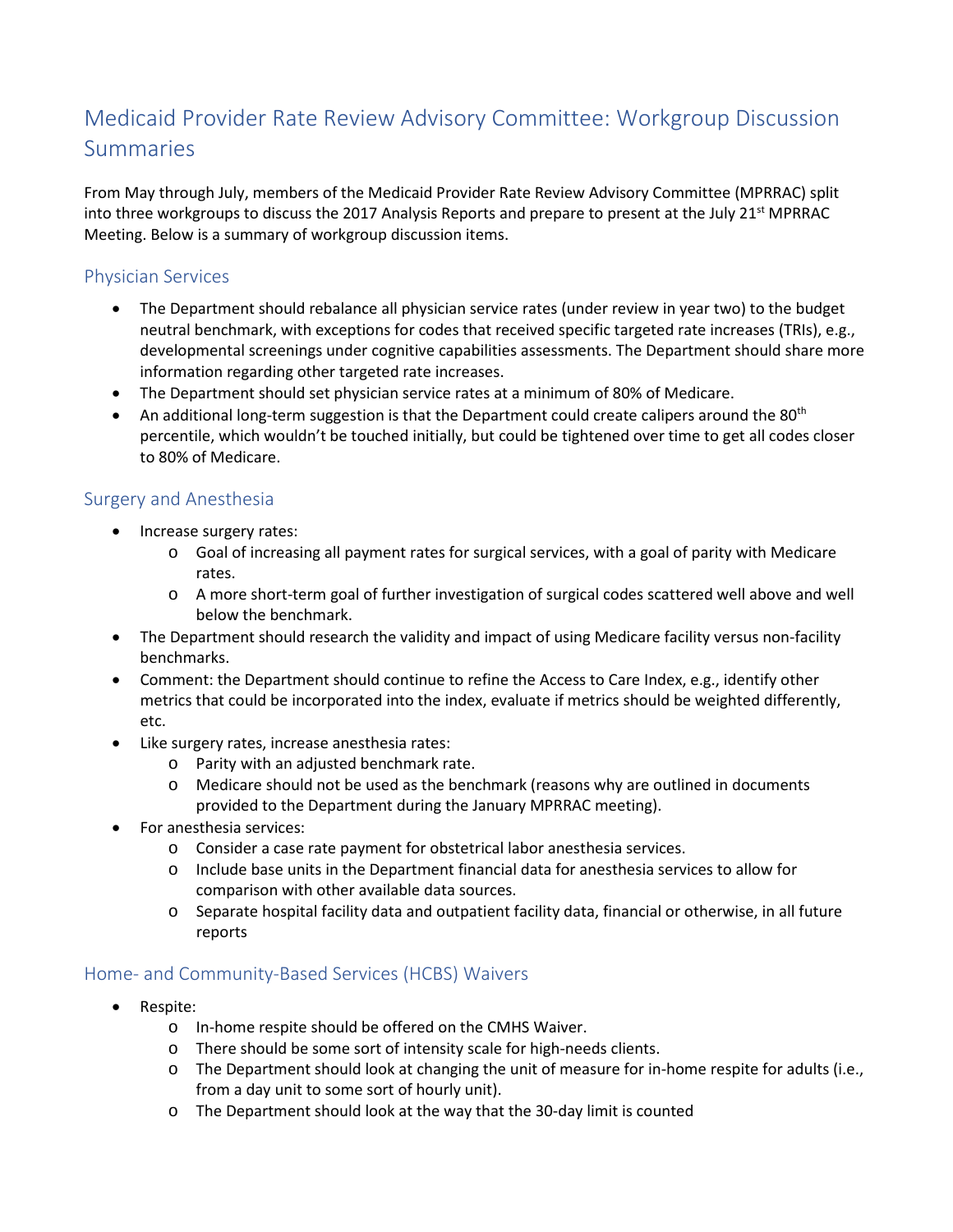## Medicaid Provider Rate Review Advisory Committee: Workgroup Discussion Summaries

From May through July, members of the Medicaid Provider Rate Review Advisory Committee (MPRRAC) split into three workgroups to discuss the 2017 Analysis Reports and prepare to present at the July 21<sup>st</sup> MPRRAC Meeting. Below is a summary of workgroup discussion items.

## Physician Services

- The Department should rebalance all physician service rates (under review in year two) to the budget neutral benchmark, with exceptions for codes that received specific targeted rate increases (TRIs), e.g., developmental screenings under cognitive capabilities assessments. The Department should share more information regarding other targeted rate increases.
- The Department should set physician service rates at a minimum of 80% of Medicare.
- An additional long-term suggestion is that the Department could create calipers around the 80<sup>th</sup> percentile, which wouldn't be touched initially, but could be tightened over time to get all codes closer to 80% of Medicare.

## Surgery and Anesthesia

- Increase surgery rates:
	- o Goal of increasing all payment rates for surgical services, with a goal of parity with Medicare rates.
	- o A more short-term goal of further investigation of surgical codes scattered well above and well below the benchmark.
- The Department should research the validity and impact of using Medicare facility versus non-facility benchmarks.
- Comment: the Department should continue to refine the Access to Care Index, e.g., identify other metrics that could be incorporated into the index, evaluate if metrics should be weighted differently, etc.
- Like surgery rates, increase anesthesia rates:
	- o Parity with an adjusted benchmark rate.
	- o Medicare should not be used as the benchmark (reasons why are outlined in documents provided to the Department during the January MPRRAC meeting).
- For anesthesia services:
	- o Consider a case rate payment for obstetrical labor anesthesia services.
	- o Include base units in the Department financial data for anesthesia services to allow for comparison with other available data sources.
	- o Separate hospital facility data and outpatient facility data, financial or otherwise, in all future reports

## Home- and Community-Based Services (HCBS) Waivers

- Respite:
	- o In-home respite should be offered on the CMHS Waiver.
	- o There should be some sort of intensity scale for high-needs clients.
	- o The Department should look at changing the unit of measure for in-home respite for adults (i.e., from a day unit to some sort of hourly unit).
	- o The Department should look at the way that the 30-day limit is counted